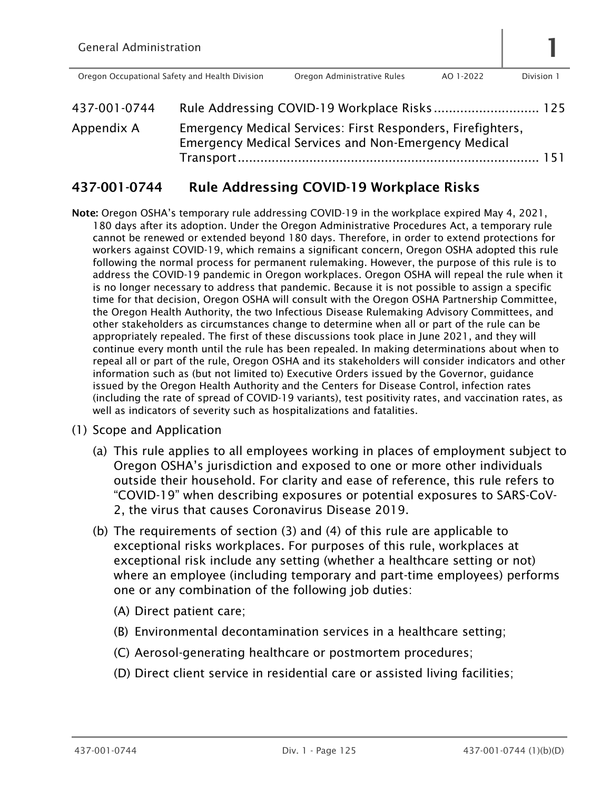[Transport................................................................................](#page-26-0) 151

## <span id="page-0-0"></span>437-001-0744 Rule Addressing COVID-19 Workplace Risks

Note: Oregon OSHA's temporary rule addressing COVID-19 in the workplace expired May 4, 2021, 180 days after its adoption. Under the Oregon Administrative Procedures Act, a temporary rule cannot be renewed or extended beyond 180 days. Therefore, in order to extend protections for workers against COVID-19, which remains a significant concern, Oregon OSHA adopted this rule following the normal process for permanent rulemaking. However, the purpose of this rule is to address the COVID-19 pandemic in Oregon workplaces. Oregon OSHA will repeal the rule when it is no longer necessary to address that pandemic. Because it is not possible to assign a specific time for that decision, Oregon OSHA will consult with the Oregon OSHA Partnership Committee, the Oregon Health Authority, the two Infectious Disease Rulemaking Advisory Committees, and other stakeholders as circumstances change to determine when all or part of the rule can be appropriately repealed. The first of these discussions took place in June 2021, and they will continue every month until the rule has been repealed. In making determinations about when to repeal all or part of the rule, Oregon OSHA and its stakeholders will consider indicators and other information such as (but not limited to) Executive Orders issued by the Governor, guidance issued by the Oregon Health Authority and the Centers for Disease Control, infection rates (including the rate of spread of COVID-19 variants), test positivity rates, and vaccination rates, as well as indicators of severity such as hospitalizations and fatalities.

### (1) Scope and Application

- (a) This rule applies to all employees working in places of employment subject to Oregon OSHA's jurisdiction and exposed to one or more other individuals outside their household. For clarity and ease of reference, this rule refers to "COVID-19" when describing exposures or potential exposures to SARS-CoV-2, the virus that causes Coronavirus Disease 2019.
- (b) The requirements of section (3) and (4) of this rule are applicable to exceptional risks workplaces. For purposes of this rule, workplaces at exceptional risk include any setting (whether a healthcare setting or not) where an employee (including temporary and part-time employees) performs one or any combination of the following job duties:
	- (A) Direct patient care;
	- (B) Environmental decontamination services in a healthcare setting;
	- (C) Aerosol-generating healthcare or postmortem procedures;
	- (D) Direct client service in residential care or assisted living facilities;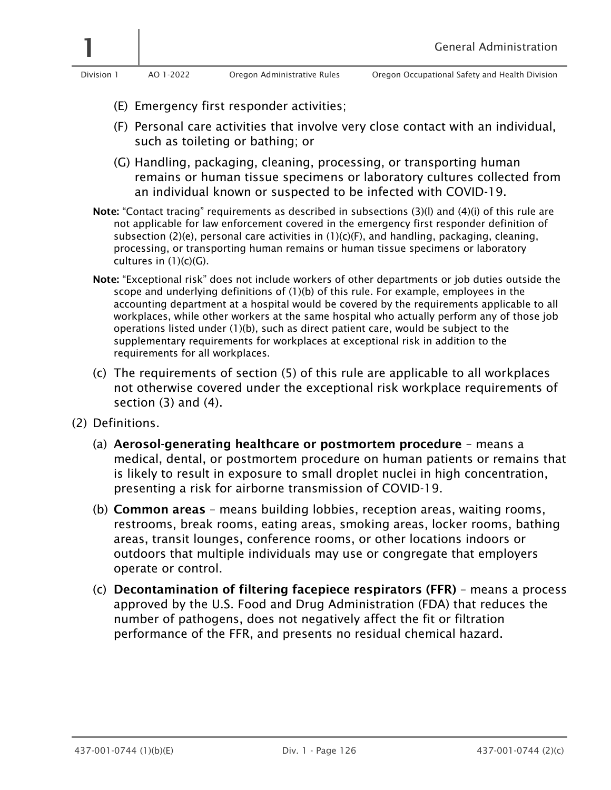

- (E) Emergency first responder activities;
- (F) Personal care activities that involve very close contact with an individual, such as toileting or bathing; or
- (G) Handling, packaging, cleaning, processing, or transporting human remains or human tissue specimens or laboratory cultures collected from an individual known or suspected to be infected with COVID-19.
- Note: "Contact tracing" requirements as described in subsections (3)(I) and (4)(i) of this rule are not applicable for law enforcement covered in the emergency first responder definition of subsection (2)(e), personal care activities in  $(1)(c)(F)$ , and handling, packaging, cleaning, processing, or transporting human remains or human tissue specimens or laboratory cultures in (1)(c)(G).
- Note: "Exceptional risk" does not include workers of other departments or job duties outside the scope and underlying definitions of (1)(b) of this rule. For example, employees in the accounting department at a hospital would be covered by the requirements applicable to all workplaces, while other workers at the same hospital who actually perform any of those job operations listed under (1)(b), such as direct patient care, would be subject to the supplementary requirements for workplaces at exceptional risk in addition to the requirements for all workplaces.
- (c) The requirements of section (5) of this rule are applicable to all workplaces not otherwise covered under the exceptional risk workplace requirements of section (3) and (4).
- (2) Definitions.
	- (a) Aerosol-generating healthcare or postmortem procedure means a medical, dental, or postmortem procedure on human patients or remains that is likely to result in exposure to small droplet nuclei in high concentration, presenting a risk for airborne transmission of COVID-19.
	- (b) Common areas means building lobbies, reception areas, waiting rooms, restrooms, break rooms, eating areas, smoking areas, locker rooms, bathing areas, transit lounges, conference rooms, or other locations indoors or outdoors that multiple individuals may use or congregate that employers operate or control.
	- (c) Decontamination of filtering facepiece respirators (FFR) means a process approved by the U.S. Food and Drug Administration (FDA) that reduces the number of pathogens, does not negatively affect the fit or filtration performance of the FFR, and presents no residual chemical hazard.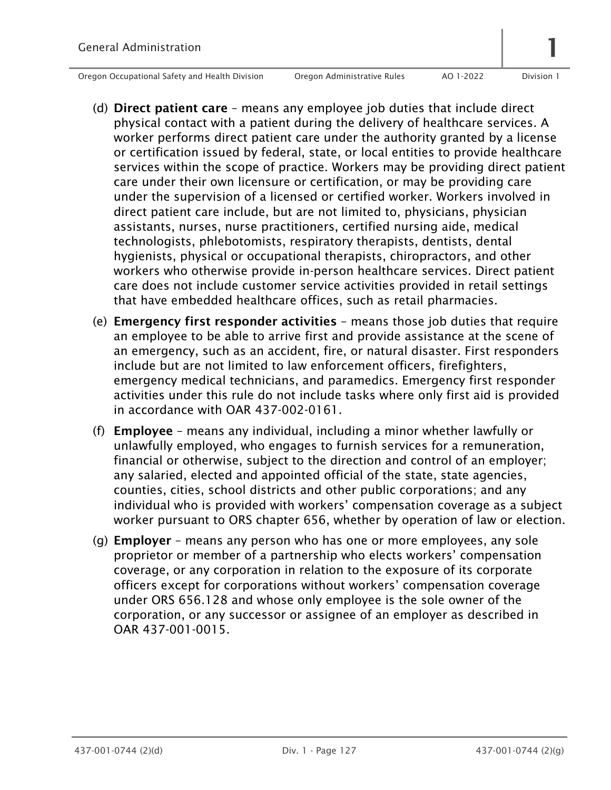- (d) Direct patient care means any employee job duties that include direct physical contact with a patient during the delivery of healthcare services. A worker performs direct patient care under the authority granted by a license or certification issued by federal, state, or local entities to provide healthcare services within the scope of practice. Workers may be providing direct patient care under their own licensure or certification, or may be providing care under the supervision of a licensed or certified worker. Workers involved in direct patient care include, but are not limited to, physicians, physician assistants, nurses, nurse practitioners, certified nursing aide, medical technologists, phlebotomists, respiratory therapists, dentists, dental hygienists, physical or occupational therapists, chiropractors, and other workers who otherwise provide in-person healthcare services. Direct patient care does not include customer service activities provided in retail settings that have embedded healthcare offices, such as retail pharmacies.
- (e) Emergency first responder activities means those job duties that require an employee to be able to arrive first and provide assistance at the scene of an emergency, such as an accident, fire, or natural disaster. First responders include but are not limited to law enforcement officers, firefighters, emergency medical technicians, and paramedics. Emergency first responder activities under this rule do not include tasks where only first aid is provided in accordance with OAR 437-002-0161.
- (f) Employee means any individual, including a minor whether lawfully or unlawfully employed, who engages to furnish services for a remuneration, financial or otherwise, subject to the direction and control of an employer; any salaried, elected and appointed official of the state, state agencies, counties, cities, school districts and other public corporations; and any individual who is provided with workers' compensation coverage as a subject worker pursuant to ORS chapter 656, whether by operation of law or election.
- (g) Employer means any person who has one or more employees, any sole proprietor or member of a partnership who elects workers' compensation coverage, or any corporation in relation to the exposure of its corporate officers except for corporations without workers' compensation coverage under ORS 656.128 and whose only employee is the sole owner of the corporation, or any successor or assignee of an employer as described in OAR 437-001-0015.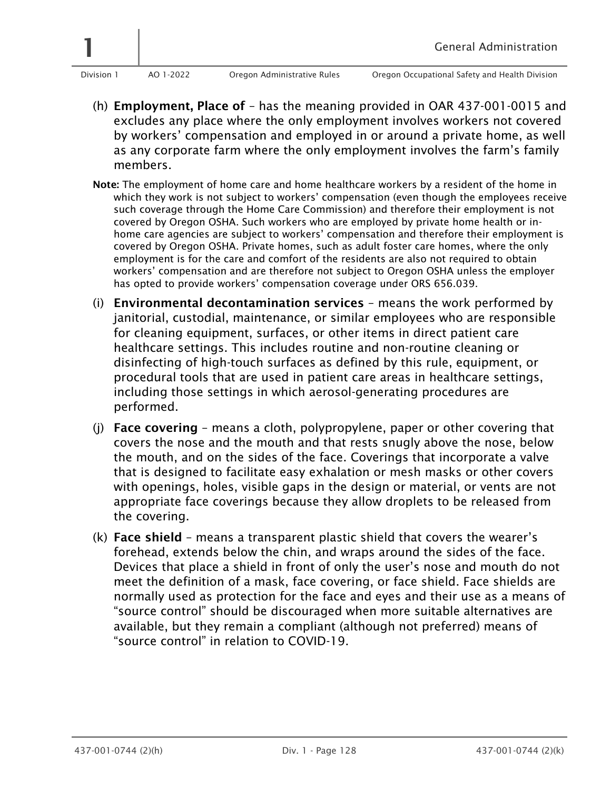- (h) Employment, Place of has the meaning provided in OAR 437-001-0015 and excludes any place where the only employment involves workers not covered by workers' compensation and employed in or around a private home, as well as any corporate farm where the only employment involves the farm's family members.
- Note: The employment of home care and home healthcare workers by a resident of the home in which they work is not subject to workers' compensation (even though the employees receive such coverage through the Home Care Commission) and therefore their employment is not covered by Oregon OSHA. Such workers who are employed by private home health or inhome care agencies are subject to workers' compensation and therefore their employment is covered by Oregon OSHA. Private homes, such as adult foster care homes, where the only employment is for the care and comfort of the residents are also not required to obtain workers' compensation and are therefore not subject to Oregon OSHA unless the employer has opted to provide workers' compensation coverage under ORS 656.039.
- (i) Environmental decontamination services means the work performed by janitorial, custodial, maintenance, or similar employees who are responsible for cleaning equipment, surfaces, or other items in direct patient care healthcare settings. This includes routine and non-routine cleaning or disinfecting of high-touch surfaces as defined by this rule, equipment, or procedural tools that are used in patient care areas in healthcare settings, including those settings in which aerosol-generating procedures are performed.
- (j) Face covering means a cloth, polypropylene, paper or other covering that covers the nose and the mouth and that rests snugly above the nose, below the mouth, and on the sides of the face. Coverings that incorporate a valve that is designed to facilitate easy exhalation or mesh masks or other covers with openings, holes, visible gaps in the design or material, or vents are not appropriate face coverings because they allow droplets to be released from the covering.
- (k) Face shield means a transparent plastic shield that covers the wearer's forehead, extends below the chin, and wraps around the sides of the face. Devices that place a shield in front of only the user's nose and mouth do not meet the definition of a mask, face covering, or face shield. Face shields are normally used as protection for the face and eyes and their use as a means of "source control" should be discouraged when more suitable alternatives are available, but they remain a compliant (although not preferred) means of "source control" in relation to COVID-19.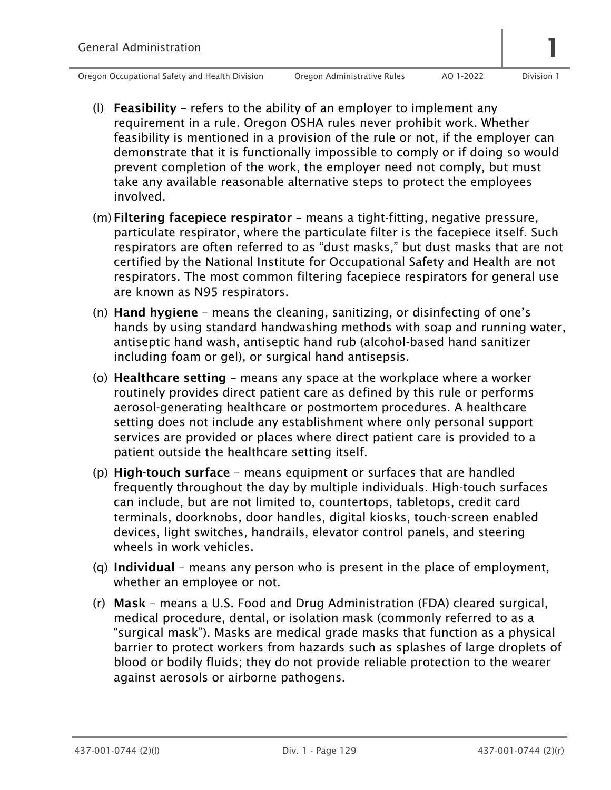- (I) Feasibility refers to the ability of an employer to implement any requirement in a rule. Oregon OSHA rules never prohibit work. Whether feasibility is mentioned in a provision of the rule or not, if the employer can demonstrate that it is functionally impossible to comply or if doing so would prevent completion of the work, the employer need not comply, but must take any available reasonable alternative steps to protect the employees involved.
- (m) Filtering facepiece respirator means a tight-fitting, negative pressure, particulate respirator, where the particulate filter is the facepiece itself. Such respirators are often referred to as "dust masks," but dust masks that are not certified by the National Institute for Occupational Safety and Health are not respirators. The most common filtering facepiece respirators for general use are known as N95 respirators.
- (n) Hand hygiene means the cleaning, sanitizing, or disinfecting of one's hands by using standard handwashing methods with soap and running water, antiseptic hand wash, antiseptic hand rub (alcohol-based hand sanitizer including foam or gel), or surgical hand antisepsis.
- (o) Healthcare setting means any space at the workplace where a worker routinely provides direct patient care as defined by this rule or performs aerosol-generating healthcare or postmortem procedures. A healthcare setting does not include any establishment where only personal support services are provided or places where direct patient care is provided to a patient outside the healthcare setting itself.
- (p) High-touch surface means equipment or surfaces that are handled frequently throughout the day by multiple individuals. High-touch surfaces can include, but are not limited to, countertops, tabletops, credit card terminals, doorknobs, door handles, digital kiosks, touch-screen enabled devices, light switches, handrails, elevator control panels, and steering wheels in work vehicles.
- (q) Individual means any person who is present in the place of employment, whether an employee or not.
- (r) Mask means a U.S. Food and Drug Administration (FDA) cleared surgical, medical procedure, dental, or isolation mask (commonly referred to as a "surgical mask"). Masks are medical grade masks that function as a physical barrier to protect workers from hazards such as splashes of large droplets of blood or bodily fluids; they do not provide reliable protection to the wearer against aerosols or airborne pathogens.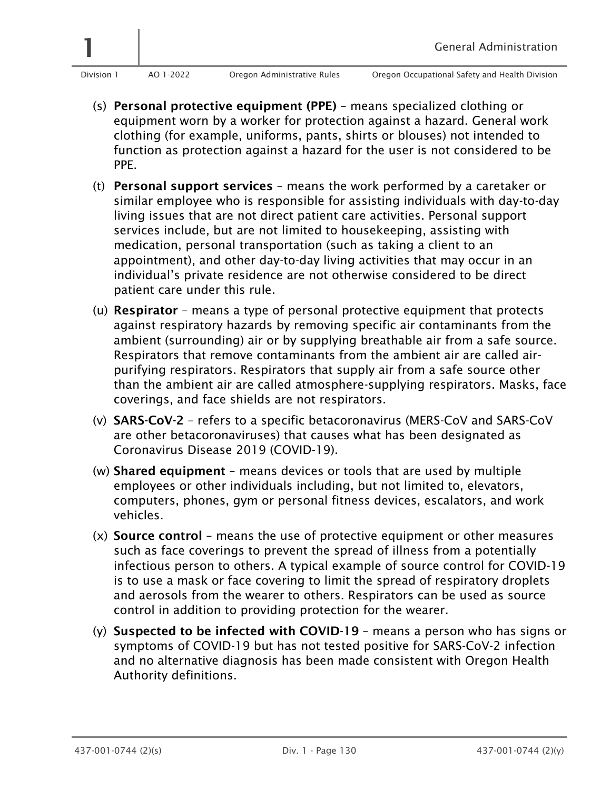- (s) Personal protective equipment (PPE) means specialized clothing or equipment worn by a worker for protection against a hazard. General work clothing (for example, uniforms, pants, shirts or blouses) not intended to function as protection against a hazard for the user is not considered to be PPE.
- (t) Personal support services means the work performed by a caretaker or similar employee who is responsible for assisting individuals with day-to-day living issues that are not direct patient care activities. Personal support services include, but are not limited to housekeeping, assisting with medication, personal transportation (such as taking a client to an appointment), and other day-to-day living activities that may occur in an individual's private residence are not otherwise considered to be direct patient care under this rule.
- (u) Respirator means a type of personal protective equipment that protects against respiratory hazards by removing specific air contaminants from the ambient (surrounding) air or by supplying breathable air from a safe source. Respirators that remove contaminants from the ambient air are called airpurifying respirators. Respirators that supply air from a safe source other than the ambient air are called atmosphere-supplying respirators. Masks, face coverings, and face shields are not respirators.
- (v) SARS-CoV-2 refers to a specific betacoronavirus (MERS-CoV and SARS-CoV are other betacoronaviruses) that causes what has been designated as Coronavirus Disease 2019 (COVID-19).
- (w) Shared equipment means devices or tools that are used by multiple employees or other individuals including, but not limited to, elevators, computers, phones, gym or personal fitness devices, escalators, and work vehicles.
- (x) Source control means the use of protective equipment or other measures such as face coverings to prevent the spread of illness from a potentially infectious person to others. A typical example of source control for COVID-19 is to use a mask or face covering to limit the spread of respiratory droplets and aerosols from the wearer to others. Respirators can be used as source control in addition to providing protection for the wearer.
- (y) Suspected to be infected with COVID-19 means a person who has signs or symptoms of COVID-19 but has not tested positive for SARS-CoV-2 infection and no alternative diagnosis has been made consistent with Oregon Health Authority definitions.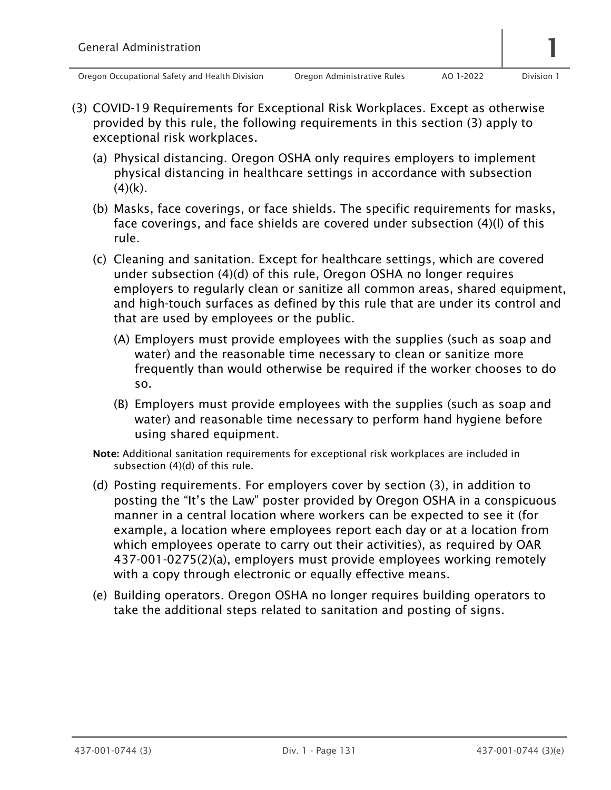- (3) COVID-19 Requirements for Exceptional Risk Workplaces. Except as otherwise provided by this rule, the following requirements in this section (3) apply to exceptional risk workplaces.
	- (a) Physical distancing. Oregon OSHA only requires employers to implement physical distancing in healthcare settings in accordance with subsection  $(4)(k)$ .
	- (b) Masks, face coverings, or face shields. The specific requirements for masks, face coverings, and face shields are covered under subsection (4)(l) of this rule.
	- (c) Cleaning and sanitation. Except for healthcare settings, which are covered under subsection (4)(d) of this rule, Oregon OSHA no longer requires employers to regularly clean or sanitize all common areas, shared equipment, and high-touch surfaces as defined by this rule that are under its control and that are used by employees or the public.
		- (A) Employers must provide employees with the supplies (such as soap and water) and the reasonable time necessary to clean or sanitize more frequently than would otherwise be required if the worker chooses to do so.
		- (B) Employers must provide employees with the supplies (such as soap and water) and reasonable time necessary to perform hand hygiene before using shared equipment.
	- Note: Additional sanitation requirements for exceptional risk workplaces are included in subsection (4)(d) of this rule.
	- (d) Posting requirements. For employers cover by section (3), in addition to posting the "It's the Law" poster provided by Oregon OSHA in a conspicuous manner in a central location where workers can be expected to see it (for example, a location where employees report each day or at a location from which employees operate to carry out their activities), as required by OAR 437-001-0275(2)(a), employers must provide employees working remotely with a copy through electronic or equally effective means.
	- (e) Building operators. Oregon OSHA no longer requires building operators to take the additional steps related to sanitation and posting of signs.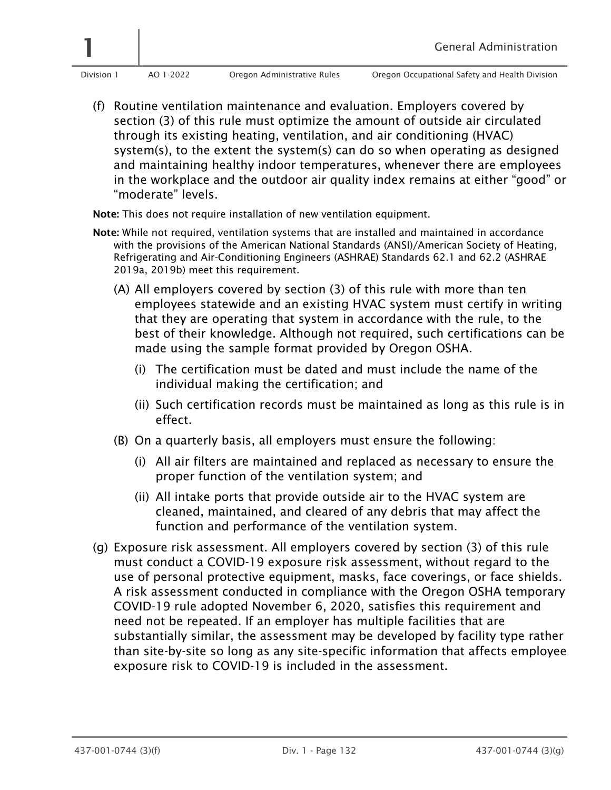(f) Routine ventilation maintenance and evaluation. Employers covered by section (3) of this rule must optimize the amount of outside air circulated through its existing heating, ventilation, and air conditioning (HVAC) system(s), to the extent the system(s) can do so when operating as designed and maintaining healthy indoor temperatures, whenever there are employees in the workplace and the outdoor air quality index remains at either "good" or "moderate" levels.

Note: This does not require installation of new ventilation equipment.

- Note: While not required, ventilation systems that are installed and maintained in accordance with the provisions of the American National Standards (ANSI)/American Society of Heating, Refrigerating and Air-Conditioning Engineers (ASHRAE) Standards 62.1 and 62.2 (ASHRAE 2019a, 2019b) meet this requirement.
	- (A) All employers covered by section (3) of this rule with more than ten employees statewide and an existing HVAC system must certify in writing that they are operating that system in accordance with the rule, to the best of their knowledge. Although not required, such certifications can be made using the sample format provided by Oregon OSHA.
		- (i) The certification must be dated and must include the name of the individual making the certification; and
		- (ii) Such certification records must be maintained as long as this rule is in effect.
	- (B) On a quarterly basis, all employers must ensure the following:
		- (i) All air filters are maintained and replaced as necessary to ensure the proper function of the ventilation system; and
		- (ii) All intake ports that provide outside air to the HVAC system are cleaned, maintained, and cleared of any debris that may affect the function and performance of the ventilation system.
- (g) Exposure risk assessment. All employers covered by section (3) of this rule must conduct a COVID-19 exposure risk assessment, without regard to the use of personal protective equipment, masks, face coverings, or face shields. A risk assessment conducted in compliance with the Oregon OSHA temporary COVID-19 rule adopted November 6, 2020, satisfies this requirement and need not be repeated. If an employer has multiple facilities that are substantially similar, the assessment may be developed by facility type rather than site-by-site so long as any site-specific information that affects employee exposure risk to COVID-19 is included in the assessment.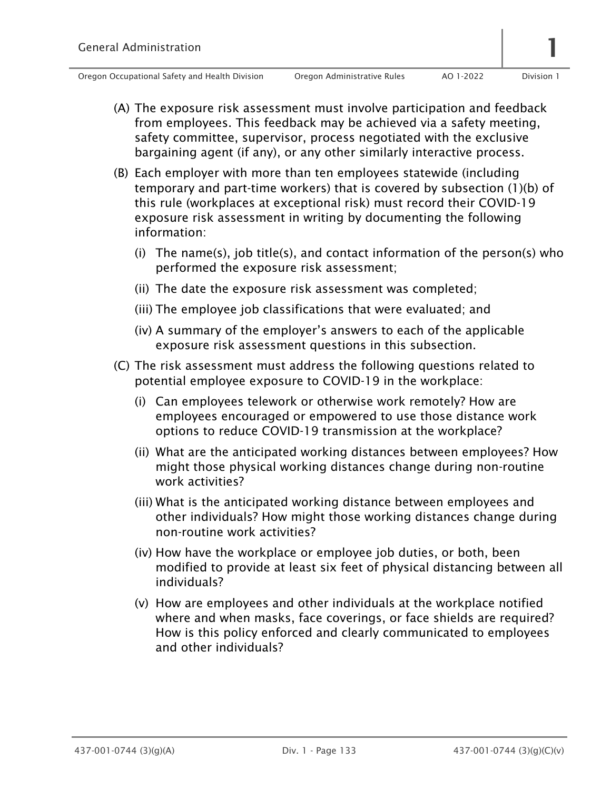- (A) The exposure risk assessment must involve participation and feedback from employees. This feedback may be achieved via a safety meeting, safety committee, supervisor, process negotiated with the exclusive bargaining agent (if any), or any other similarly interactive process.
- (B) Each employer with more than ten employees statewide (including temporary and part-time workers) that is covered by subsection (1)(b) of this rule (workplaces at exceptional risk) must record their COVID-19 exposure risk assessment in writing by documenting the following information:
	- (i) The name(s), job title(s), and contact information of the person(s) who performed the exposure risk assessment;
	- (ii) The date the exposure risk assessment was completed;
	- (iii) The employee job classifications that were evaluated; and
	- (iv) A summary of the employer's answers to each of the applicable exposure risk assessment questions in this subsection.
- (C) The risk assessment must address the following questions related to potential employee exposure to COVID-19 in the workplace:
	- (i) Can employees telework or otherwise work remotely? How are employees encouraged or empowered to use those distance work options to reduce COVID-19 transmission at the workplace?
	- (ii) What are the anticipated working distances between employees? How might those physical working distances change during non-routine work activities?
	- (iii) What is the anticipated working distance between employees and other individuals? How might those working distances change during non-routine work activities?
	- (iv) How have the workplace or employee job duties, or both, been modified to provide at least six feet of physical distancing between all individuals?
	- (v) How are employees and other individuals at the workplace notified where and when masks, face coverings, or face shields are required? How is this policy enforced and clearly communicated to employees and other individuals?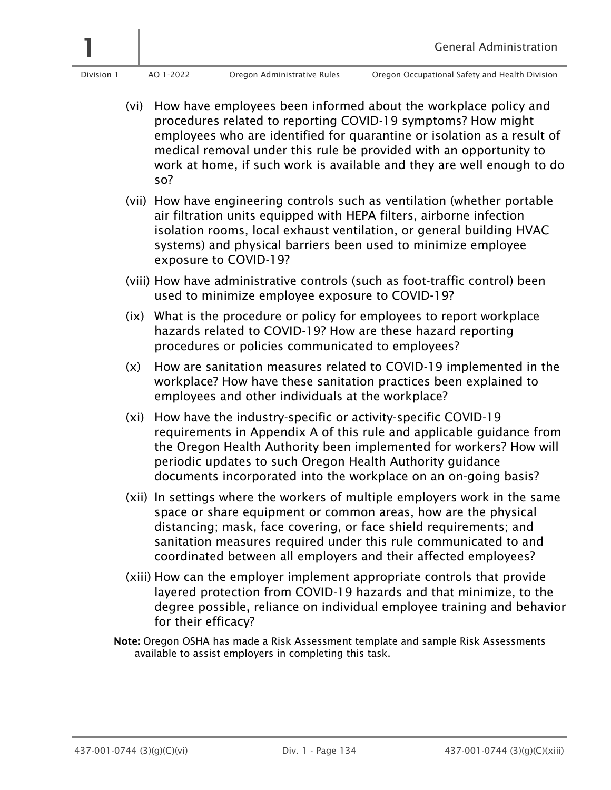|  | <b>General Administration</b> |
|--|-------------------------------|
|  |                               |

- (vi) How have employees been informed about the workplace policy and procedures related to reporting COVID-19 symptoms? How might employees who are identified for quarantine or isolation as a result of medical removal under this rule be provided with an opportunity to work at home, if such work is available and they are well enough to do so?
- (vii) How have engineering controls such as ventilation (whether portable air filtration units equipped with HEPA filters, airborne infection isolation rooms, local exhaust ventilation, or general building HVAC systems) and physical barriers been used to minimize employee exposure to COVID-19?
- (viii) How have administrative controls (such as foot-traffic control) been used to minimize employee exposure to COVID-19?
- (ix) What is the procedure or policy for employees to report workplace hazards related to COVID-19? How are these hazard reporting procedures or policies communicated to employees?
- (x) How are sanitation measures related to COVID-19 implemented in the workplace? How have these sanitation practices been explained to employees and other individuals at the workplace?
- (xi) How have the industry-specific or activity-specific COVID-19 requirements in Appendix A of this rule and applicable guidance from the Oregon Health Authority been implemented for workers? How will periodic updates to such Oregon Health Authority guidance documents incorporated into the workplace on an on-going basis?
- (xii) In settings where the workers of multiple employers work in the same space or share equipment or common areas, how are the physical distancing; mask, face covering, or face shield requirements; and sanitation measures required under this rule communicated to and coordinated between all employers and their affected employees?
- (xiii) How can the employer implement appropriate controls that provide layered protection from COVID-19 hazards and that minimize, to the degree possible, reliance on individual employee training and behavior for their efficacy?
- Note: Oregon OSHA has made a Risk Assessment template and sample Risk Assessments available to assist employers in completing this task.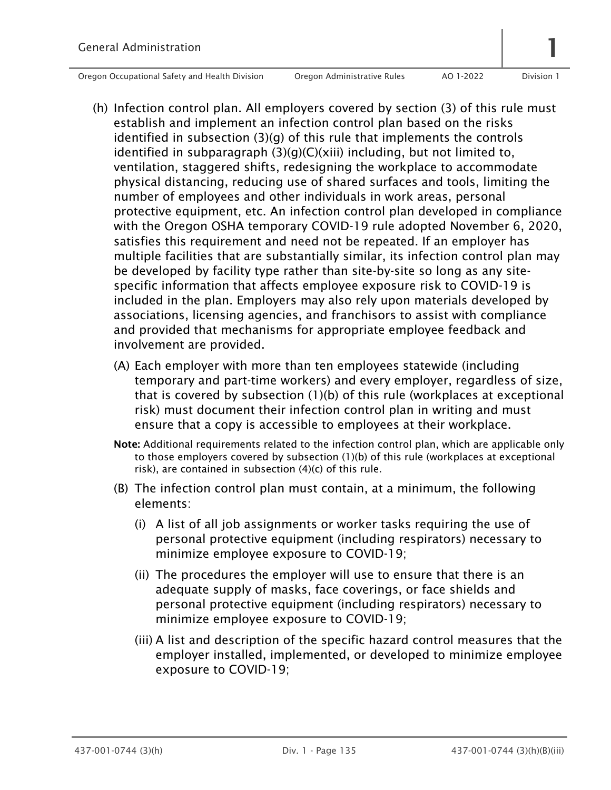- (h) Infection control plan. All employers covered by section (3) of this rule must establish and implement an infection control plan based on the risks identified in subsection (3)(g) of this rule that implements the controls identified in subparagraph (3)(g)(C)(xiii) including, but not limited to, ventilation, staggered shifts, redesigning the workplace to accommodate physical distancing, reducing use of shared surfaces and tools, limiting the number of employees and other individuals in work areas, personal protective equipment, etc. An infection control plan developed in compliance with the Oregon OSHA temporary COVID-19 rule adopted November 6, 2020, satisfies this requirement and need not be repeated. If an employer has multiple facilities that are substantially similar, its infection control plan may be developed by facility type rather than site-by-site so long as any sitespecific information that affects employee exposure risk to COVID-19 is included in the plan. Employers may also rely upon materials developed by associations, licensing agencies, and franchisors to assist with compliance and provided that mechanisms for appropriate employee feedback and involvement are provided.
	- (A) Each employer with more than ten employees statewide (including temporary and part-time workers) and every employer, regardless of size, that is covered by subsection (1)(b) of this rule (workplaces at exceptional risk) must document their infection control plan in writing and must ensure that a copy is accessible to employees at their workplace.
	- Note: Additional requirements related to the infection control plan, which are applicable only to those employers covered by subsection (1)(b) of this rule (workplaces at exceptional risk), are contained in subsection (4)(c) of this rule.
	- (B) The infection control plan must contain, at a minimum, the following elements:
		- (i) A list of all job assignments or worker tasks requiring the use of personal protective equipment (including respirators) necessary to minimize employee exposure to COVID-19;
		- (ii) The procedures the employer will use to ensure that there is an adequate supply of masks, face coverings, or face shields and personal protective equipment (including respirators) necessary to minimize employee exposure to COVID-19;
		- (iii) A list and description of the specific hazard control measures that the employer installed, implemented, or developed to minimize employee exposure to COVID-19;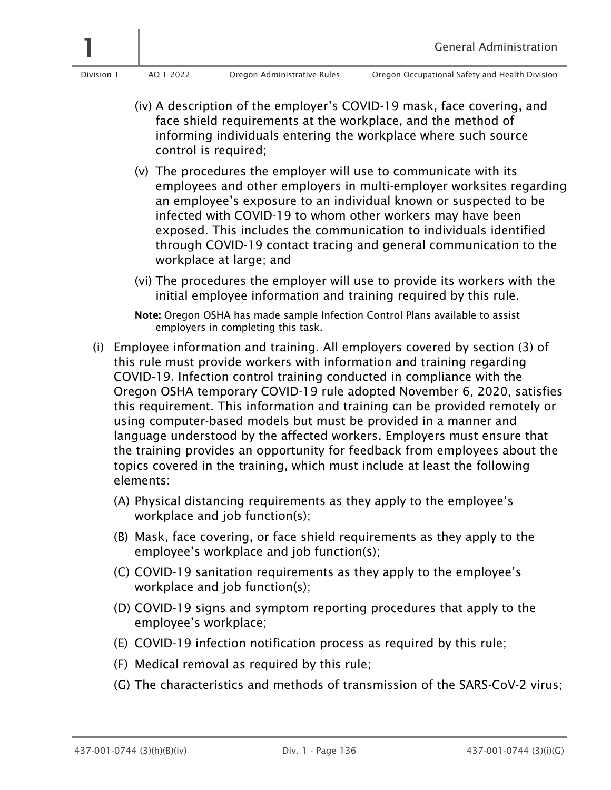- (iv) A description of the employer's COVID-19 mask, face covering, and face shield requirements at the workplace, and the method of informing individuals entering the workplace where such source control is required;
- (v) The procedures the employer will use to communicate with its employees and other employers in multi-employer worksites regarding an employee's exposure to an individual known or suspected to be infected with COVID-19 to whom other workers may have been exposed. This includes the communication to individuals identified through COVID-19 contact tracing and general communication to the workplace at large; and
- (vi) The procedures the employer will use to provide its workers with the initial employee information and training required by this rule.

Note: Oregon OSHA has made sample Infection Control Plans available to assist employers in completing this task.

- (i) Employee information and training. All employers covered by section (3) of this rule must provide workers with information and training regarding COVID-19. Infection control training conducted in compliance with the Oregon OSHA temporary COVID-19 rule adopted November 6, 2020, satisfies this requirement. This information and training can be provided remotely or using computer-based models but must be provided in a manner and language understood by the affected workers. Employers must ensure that the training provides an opportunity for feedback from employees about the topics covered in the training, which must include at least the following elements:
	- (A) Physical distancing requirements as they apply to the employee's workplace and job function(s);
	- (B) Mask, face covering, or face shield requirements as they apply to the employee's workplace and job function(s);
	- (C) COVID-19 sanitation requirements as they apply to the employee's workplace and job function(s);
	- (D) COVID-19 signs and symptom reporting procedures that apply to the employee's workplace;
	- (E) COVID-19 infection notification process as required by this rule;
	- (F) Medical removal as required by this rule;
	- (G) The characteristics and methods of transmission of the SARS-CoV-2 virus;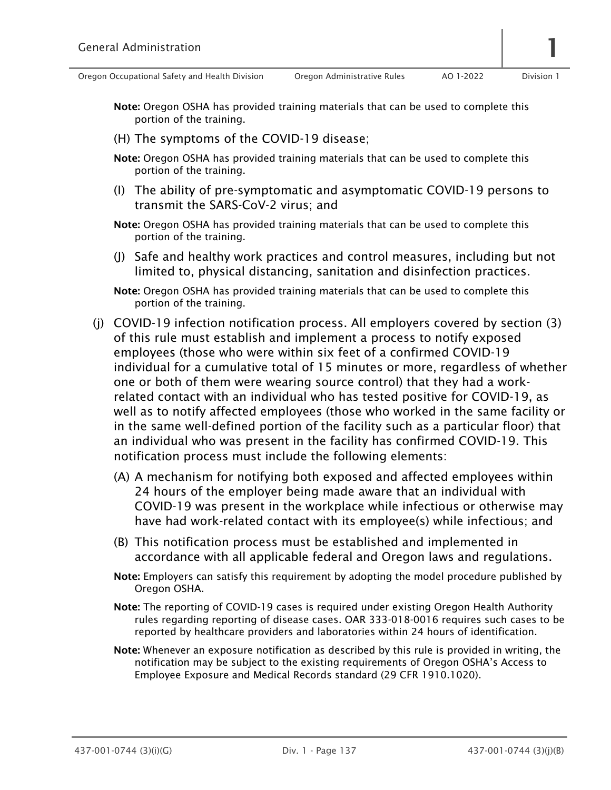- Note: Oregon OSHA has provided training materials that can be used to complete this portion of the training.
- (H) The symptoms of the COVID-19 disease;
- Note: Oregon OSHA has provided training materials that can be used to complete this portion of the training.
- (I) The ability of pre-symptomatic and asymptomatic COVID-19 persons to transmit the SARS-CoV-2 virus; and

Note: Oregon OSHA has provided training materials that can be used to complete this portion of the training.

(J) Safe and healthy work practices and control measures, including but not limited to, physical distancing, sanitation and disinfection practices.

Note: Oregon OSHA has provided training materials that can be used to complete this portion of the training.

- (j) COVID-19 infection notification process. All employers covered by section (3) of this rule must establish and implement a process to notify exposed employees (those who were within six feet of a confirmed COVID-19 individual for a cumulative total of 15 minutes or more, regardless of whether one or both of them were wearing source control) that they had a workrelated contact with an individual who has tested positive for COVID-19, as well as to notify affected employees (those who worked in the same facility or in the same well-defined portion of the facility such as a particular floor) that an individual who was present in the facility has confirmed COVID-19. This notification process must include the following elements:
	- (A) A mechanism for notifying both exposed and affected employees within 24 hours of the employer being made aware that an individual with COVID-19 was present in the workplace while infectious or otherwise may have had work-related contact with its employee(s) while infectious; and
	- (B) This notification process must be established and implemented in accordance with all applicable federal and Oregon laws and regulations.
	- Note: Employers can satisfy this requirement by adopting the model procedure published by Oregon OSHA.
	- Note: The reporting of COVID-19 cases is required under existing Oregon Health Authority rules regarding reporting of disease cases. OAR 333-018-0016 requires such cases to be reported by healthcare providers and laboratories within 24 hours of identification.
	- Note: Whenever an exposure notification as described by this rule is provided in writing, the notification may be subject to the existing requirements of Oregon OSHA's Access to Employee Exposure and Medical Records standard (29 CFR 1910.1020).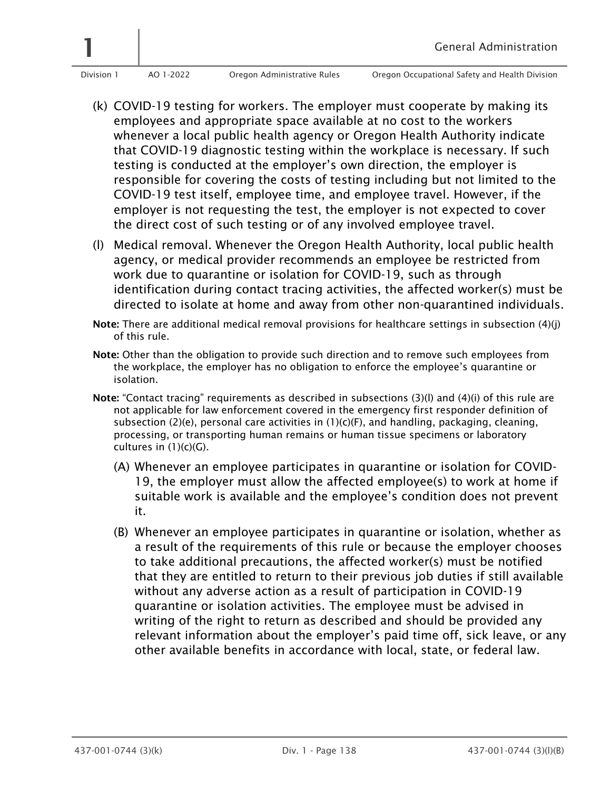- (k) COVID-19 testing for workers. The employer must cooperate by making its employees and appropriate space available at no cost to the workers whenever a local public health agency or Oregon Health Authority indicate that COVID-19 diagnostic testing within the workplace is necessary. If such testing is conducted at the employer's own direction, the employer is responsible for covering the costs of testing including but not limited to the COVID-19 test itself, employee time, and employee travel. However, if the employer is not requesting the test, the employer is not expected to cover the direct cost of such testing or of any involved employee travel.
- (l) Medical removal. Whenever the Oregon Health Authority, local public health agency, or medical provider recommends an employee be restricted from work due to quarantine or isolation for COVID-19, such as through identification during contact tracing activities, the affected worker(s) must be directed to isolate at home and away from other non-quarantined individuals.
- Note: There are additional medical removal provisions for healthcare settings in subsection (4)(j) of this rule.
- Note: Other than the obligation to provide such direction and to remove such employees from the workplace, the employer has no obligation to enforce the employee's quarantine or isolation.
- Note: "Contact tracing" requirements as described in subsections (3)(l) and (4)(i) of this rule are not applicable for law enforcement covered in the emergency first responder definition of subsection (2)(e), personal care activities in (1)(c)(F), and handling, packaging, cleaning, processing, or transporting human remains or human tissue specimens or laboratory cultures in (1)(c)(G).
	- (A) Whenever an employee participates in quarantine or isolation for COVID-19, the employer must allow the affected employee(s) to work at home if suitable work is available and the employee's condition does not prevent it.
	- (B) Whenever an employee participates in quarantine or isolation, whether as a result of the requirements of this rule or because the employer chooses to take additional precautions, the affected worker(s) must be notified that they are entitled to return to their previous job duties if still available without any adverse action as a result of participation in COVID-19 quarantine or isolation activities. The employee must be advised in writing of the right to return as described and should be provided any relevant information about the employer's paid time off, sick leave, or any other available benefits in accordance with local, state, or federal law.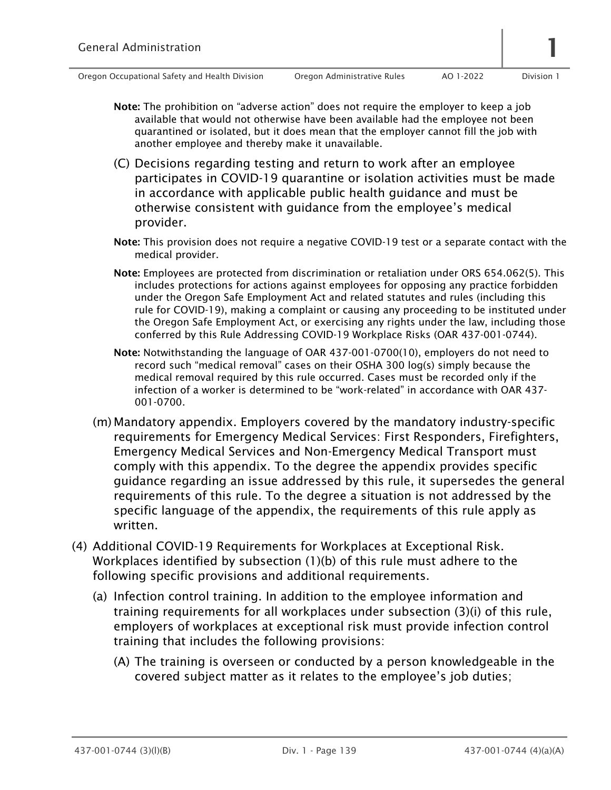- Note: The prohibition on "adverse action" does not require the employer to keep a job available that would not otherwise have been available had the employee not been quarantined or isolated, but it does mean that the employer cannot fill the job with another employee and thereby make it unavailable.
- (C) Decisions regarding testing and return to work after an employee participates in COVID-19 quarantine or isolation activities must be made in accordance with applicable public health guidance and must be otherwise consistent with guidance from the employee's medical provider.
- Note: This provision does not require a negative COVID-19 test or a separate contact with the medical provider.
- Note: Employees are protected from discrimination or retaliation under ORS 654.062(5). This includes protections for actions against employees for opposing any practice forbidden under the Oregon Safe Employment Act and related statutes and rules (including this rule for COVID-19), making a complaint or causing any proceeding to be instituted under the Oregon Safe Employment Act, or exercising any rights under the law, including those conferred by this Rule Addressing COVID-19 Workplace Risks (OAR 437-001-0744).
- Note: Notwithstanding the language of OAR 437-001-0700(10), employers do not need to record such "medical removal" cases on their OSHA 300 log(s) simply because the medical removal required by this rule occurred. Cases must be recorded only if the infection of a worker is determined to be "work-related" in accordance with OAR 437- 001-0700.
- (m) Mandatory appendix. Employers covered by the mandatory industry-specific requirements for Emergency Medical Services: First Responders, Firefighters, Emergency Medical Services and Non-Emergency Medical Transport must comply with this appendix. To the degree the appendix provides specific guidance regarding an issue addressed by this rule, it supersedes the general requirements of this rule. To the degree a situation is not addressed by the specific language of the appendix, the requirements of this rule apply as written.
- (4) Additional COVID-19 Requirements for Workplaces at Exceptional Risk. Workplaces identified by subsection (1)(b) of this rule must adhere to the following specific provisions and additional requirements.
	- (a) Infection control training. In addition to the employee information and training requirements for all workplaces under subsection (3)(i) of this rule, employers of workplaces at exceptional risk must provide infection control training that includes the following provisions:
		- (A) The training is overseen or conducted by a person knowledgeable in the covered subject matter as it relates to the employee's job duties;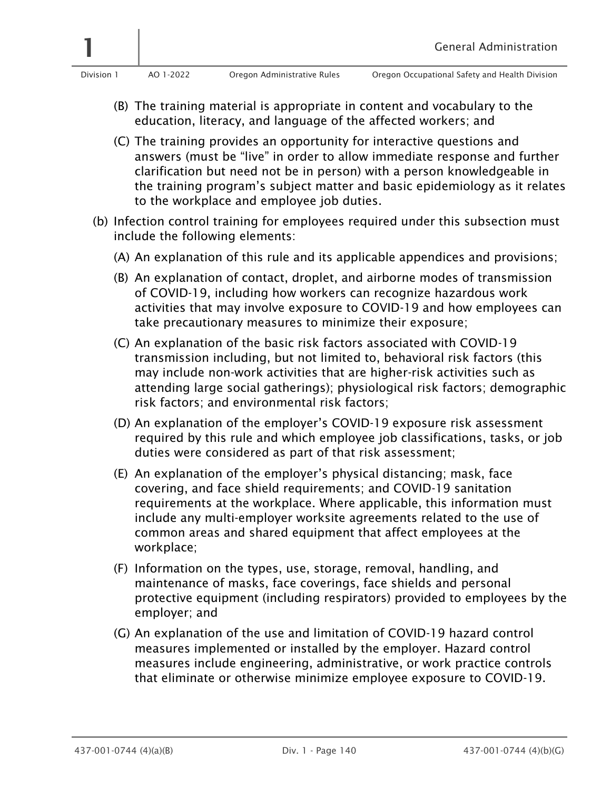- (B) The training material is appropriate in content and vocabulary to the education, literacy, and language of the affected workers; and
- (C) The training provides an opportunity for interactive questions and answers (must be "live" in order to allow immediate response and further clarification but need not be in person) with a person knowledgeable in the training program's subject matter and basic epidemiology as it relates to the workplace and employee job duties.
- (b) Infection control training for employees required under this subsection must include the following elements:
	- (A) An explanation of this rule and its applicable appendices and provisions;
	- (B) An explanation of contact, droplet, and airborne modes of transmission of COVID-19, including how workers can recognize hazardous work activities that may involve exposure to COVID-19 and how employees can take precautionary measures to minimize their exposure;
	- (C) An explanation of the basic risk factors associated with COVID-19 transmission including, but not limited to, behavioral risk factors (this may include non-work activities that are higher-risk activities such as attending large social gatherings); physiological risk factors; demographic risk factors; and environmental risk factors;
	- (D) An explanation of the employer's COVID-19 exposure risk assessment required by this rule and which employee job classifications, tasks, or job duties were considered as part of that risk assessment;
	- (E) An explanation of the employer's physical distancing; mask, face covering, and face shield requirements; and COVID-19 sanitation requirements at the workplace. Where applicable, this information must include any multi-employer worksite agreements related to the use of common areas and shared equipment that affect employees at the workplace;
	- (F) Information on the types, use, storage, removal, handling, and maintenance of masks, face coverings, face shields and personal protective equipment (including respirators) provided to employees by the employer; and
	- (G) An explanation of the use and limitation of COVID-19 hazard control measures implemented or installed by the employer. Hazard control measures include engineering, administrative, or work practice controls that eliminate or otherwise minimize employee exposure to COVID-19.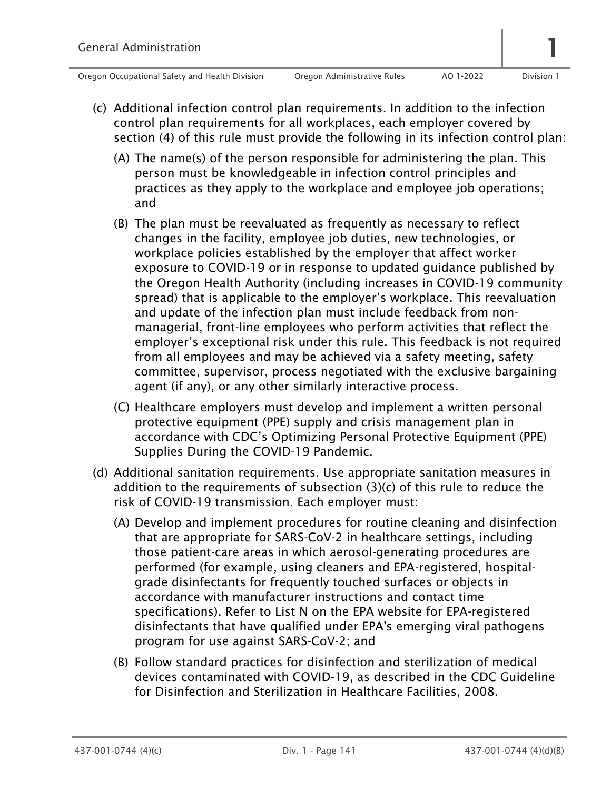- (c) Additional infection control plan requirements. In addition to the infection control plan requirements for all workplaces, each employer covered by section (4) of this rule must provide the following in its infection control plan:
	- (A) The name(s) of the person responsible for administering the plan. This person must be knowledgeable in infection control principles and practices as they apply to the workplace and employee job operations; and
	- (B) The plan must be reevaluated as frequently as necessary to reflect changes in the facility, employee job duties, new technologies, or workplace policies established by the employer that affect worker exposure to COVID-19 or in response to updated guidance published by the Oregon Health Authority (including increases in COVID-19 community spread) that is applicable to the employer's workplace. This reevaluation and update of the infection plan must include feedback from nonmanagerial, front-line employees who perform activities that reflect the employer's exceptional risk under this rule. This feedback is not required from all employees and may be achieved via a safety meeting, safety committee, supervisor, process negotiated with the exclusive bargaining agent (if any), or any other similarly interactive process.
	- (C) Healthcare employers must develop and implement a written personal protective equipment (PPE) supply and crisis management plan in accordance with CDC's Optimizing Personal Protective Equipment (PPE) Supplies During the COVID-19 Pandemic.
- (d) Additional sanitation requirements. Use appropriate sanitation measures in addition to the requirements of subsection (3)(c) of this rule to reduce the risk of COVID-19 transmission. Each employer must:
	- (A) Develop and implement procedures for routine cleaning and disinfection that are appropriate for SARS-CoV-2 in healthcare settings, including those patient-care areas in which aerosol-generating procedures are performed (for example, using cleaners and EPA-registered, hospitalgrade disinfectants for frequently touched surfaces or objects in accordance with manufacturer instructions and contact time specifications). Refer to List N on the EPA website for EPA-registered disinfectants that have qualified under EPA's emerging viral pathogens program for use against SARS-CoV-2; and
	- (B) Follow standard practices for disinfection and sterilization of medical devices contaminated with COVID-19, as described in the CDC Guideline for Disinfection and Sterilization in Healthcare Facilities, 2008.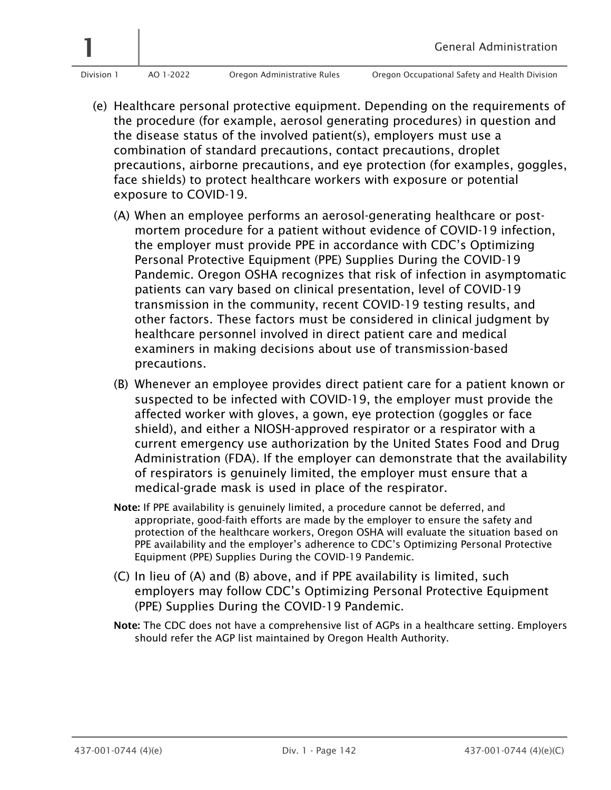- (e) Healthcare personal protective equipment. Depending on the requirements of the procedure (for example, aerosol generating procedures) in question and the disease status of the involved patient(s), employers must use a combination of standard precautions, contact precautions, droplet precautions, airborne precautions, and eye protection (for examples, goggles, face shields) to protect healthcare workers with exposure or potential exposure to COVID-19.
	- (A) When an employee performs an aerosol-generating healthcare or postmortem procedure for a patient without evidence of COVID-19 infection, the employer must provide PPE in accordance with CDC's Optimizing Personal Protective Equipment (PPE) Supplies During the COVID-19 Pandemic. Oregon OSHA recognizes that risk of infection in asymptomatic patients can vary based on clinical presentation, level of COVID-19 transmission in the community, recent COVID-19 testing results, and other factors. These factors must be considered in clinical judgment by healthcare personnel involved in direct patient care and medical examiners in making decisions about use of transmission-based precautions.
	- (B) Whenever an employee provides direct patient care for a patient known or suspected to be infected with COVID-19, the employer must provide the affected worker with gloves, a gown, eye protection (goggles or face shield), and either a NIOSH-approved respirator or a respirator with a current emergency use authorization by the United States Food and Drug Administration (FDA). If the employer can demonstrate that the availability of respirators is genuinely limited, the employer must ensure that a medical-grade mask is used in place of the respirator.
	- Note: If PPE availability is genuinely limited, a procedure cannot be deferred, and appropriate, good-faith efforts are made by the employer to ensure the safety and protection of the healthcare workers, Oregon OSHA will evaluate the situation based on PPE availability and the employer's adherence to CDC's Optimizing Personal Protective Equipment (PPE) Supplies During the COVID-19 Pandemic.
	- (C) In lieu of (A) and (B) above, and if PPE availability is limited, such employers may follow CDC's Optimizing Personal Protective Equipment (PPE) Supplies During the COVID-19 Pandemic.
	- Note: The CDC does not have a comprehensive list of AGPs in a healthcare setting. Employers should refer the AGP list maintained by Oregon Health Authority.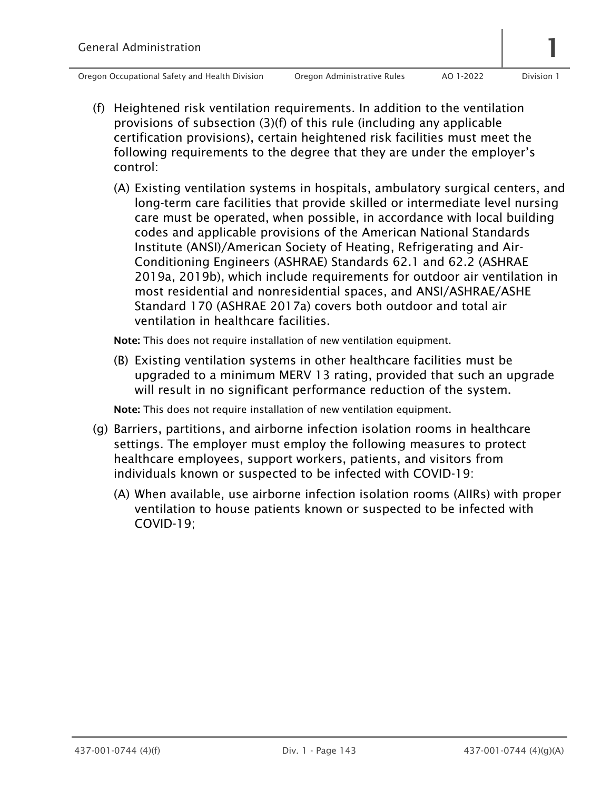- (f) Heightened risk ventilation requirements. In addition to the ventilation provisions of subsection (3)(f) of this rule (including any applicable certification provisions), certain heightened risk facilities must meet the following requirements to the degree that they are under the employer's control:
	- (A) Existing ventilation systems in hospitals, ambulatory surgical centers, and long-term care facilities that provide skilled or intermediate level nursing care must be operated, when possible, in accordance with local building codes and applicable provisions of the American National Standards Institute (ANSI)/American Society of Heating, Refrigerating and Air-Conditioning Engineers (ASHRAE) Standards 62.1 and 62.2 (ASHRAE 2019a, 2019b), which include requirements for outdoor air ventilation in most residential and nonresidential spaces, and ANSI/ASHRAE/ASHE Standard 170 (ASHRAE 2017a) covers both outdoor and total air ventilation in healthcare facilities.

Note: This does not require installation of new ventilation equipment.

(B) Existing ventilation systems in other healthcare facilities must be upgraded to a minimum MERV 13 rating, provided that such an upgrade will result in no significant performance reduction of the system.

Note: This does not require installation of new ventilation equipment.

- (g) Barriers, partitions, and airborne infection isolation rooms in healthcare settings. The employer must employ the following measures to protect healthcare employees, support workers, patients, and visitors from individuals known or suspected to be infected with COVID-19:
	- (A) When available, use airborne infection isolation rooms (AIIRs) with proper ventilation to house patients known or suspected to be infected with COVID-19;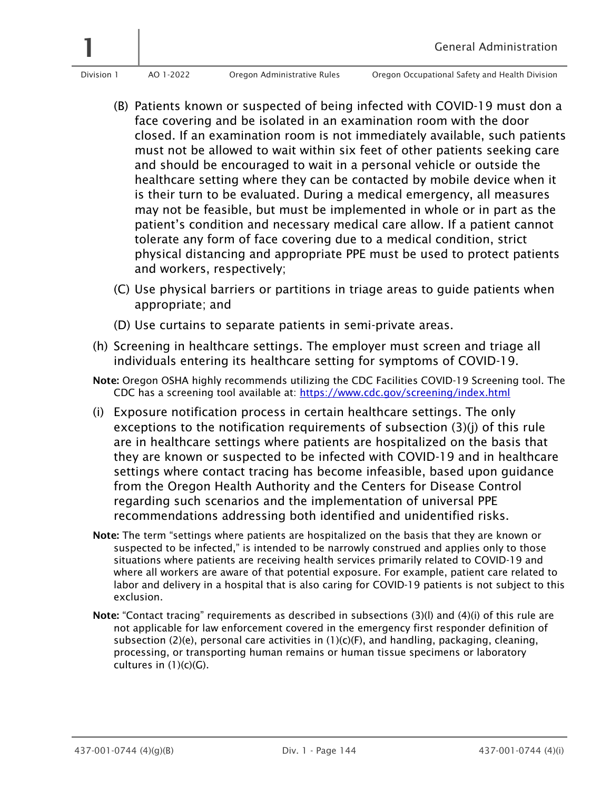| AO 1-2022 |  |
|-----------|--|
|-----------|--|

- (B) Patients known or suspected of being infected with COVID-19 must don a face covering and be isolated in an examination room with the door closed. If an examination room is not immediately available, such patients must not be allowed to wait within six feet of other patients seeking care and should be encouraged to wait in a personal vehicle or outside the healthcare setting where they can be contacted by mobile device when it is their turn to be evaluated. During a medical emergency, all measures may not be feasible, but must be implemented in whole or in part as the patient's condition and necessary medical care allow. If a patient cannot tolerate any form of face covering due to a medical condition, strict physical distancing and appropriate PPE must be used to protect patients and workers, respectively;
- (C) Use physical barriers or partitions in triage areas to guide patients when appropriate; and
- (D) Use curtains to separate patients in semi-private areas.
- (h) Screening in healthcare settings. The employer must screen and triage all individuals entering its healthcare setting for symptoms of COVID-19.
- Note: Oregon OSHA highly recommends utilizing the CDC Facilities COVID-19 Screening tool. The CDC has a screening tool available at:<https://www.cdc.gov/screening/index.html>
- (i) Exposure notification process in certain healthcare settings. The only exceptions to the notification requirements of subsection (3)(j) of this rule are in healthcare settings where patients are hospitalized on the basis that they are known or suspected to be infected with COVID-19 and in healthcare settings where contact tracing has become infeasible, based upon guidance from the Oregon Health Authority and the Centers for Disease Control regarding such scenarios and the implementation of universal PPE recommendations addressing both identified and unidentified risks.
- Note: The term "settings where patients are hospitalized on the basis that they are known or suspected to be infected," is intended to be narrowly construed and applies only to those situations where patients are receiving health services primarily related to COVID-19 and where all workers are aware of that potential exposure. For example, patient care related to labor and delivery in a hospital that is also caring for COVID-19 patients is not subject to this exclusion.
- Note: "Contact tracing" requirements as described in subsections (3)(l) and (4)(i) of this rule are not applicable for law enforcement covered in the emergency first responder definition of subsection (2)(e), personal care activities in (1)(c)(F), and handling, packaging, cleaning, processing, or transporting human remains or human tissue specimens or laboratory cultures in (1)(c)(G).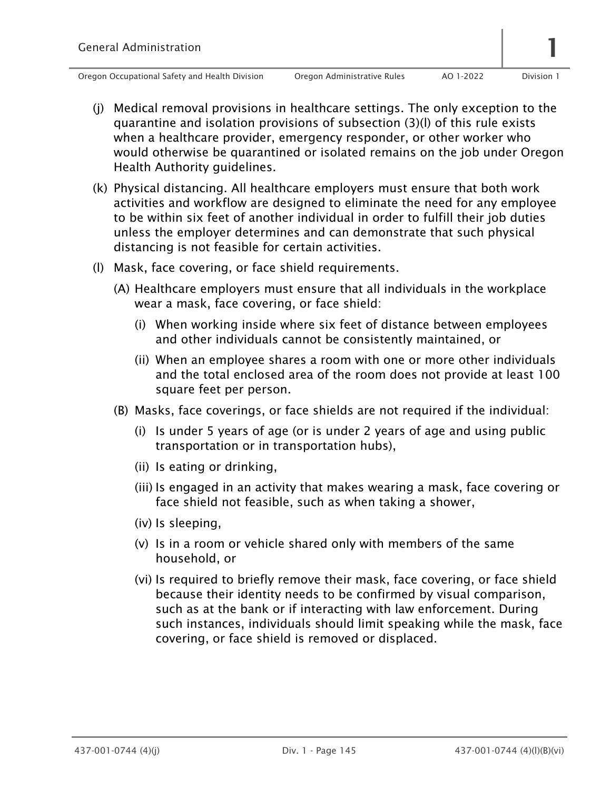- (j) Medical removal provisions in healthcare settings. The only exception to the quarantine and isolation provisions of subsection (3)(l) of this rule exists when a healthcare provider, emergency responder, or other worker who would otherwise be quarantined or isolated remains on the job under Oregon Health Authority guidelines.
- (k) Physical distancing. All healthcare employers must ensure that both work activities and workflow are designed to eliminate the need for any employee to be within six feet of another individual in order to fulfill their job duties unless the employer determines and can demonstrate that such physical distancing is not feasible for certain activities.
- (l) Mask, face covering, or face shield requirements.
	- (A) Healthcare employers must ensure that all individuals in the workplace wear a mask, face covering, or face shield:
		- (i) When working inside where six feet of distance between employees and other individuals cannot be consistently maintained, or
		- (ii) When an employee shares a room with one or more other individuals and the total enclosed area of the room does not provide at least 100 square feet per person.
	- (B) Masks, face coverings, or face shields are not required if the individual:
		- (i) Is under 5 years of age (or is under 2 years of age and using public transportation or in transportation hubs),
		- (ii) Is eating or drinking,
		- (iii) Is engaged in an activity that makes wearing a mask, face covering or face shield not feasible, such as when taking a shower,
		- (iv) Is sleeping,
		- (v) Is in a room or vehicle shared only with members of the same household, or
		- (vi) Is required to briefly remove their mask, face covering, or face shield because their identity needs to be confirmed by visual comparison, such as at the bank or if interacting with law enforcement. During such instances, individuals should limit speaking while the mask, face covering, or face shield is removed or displaced.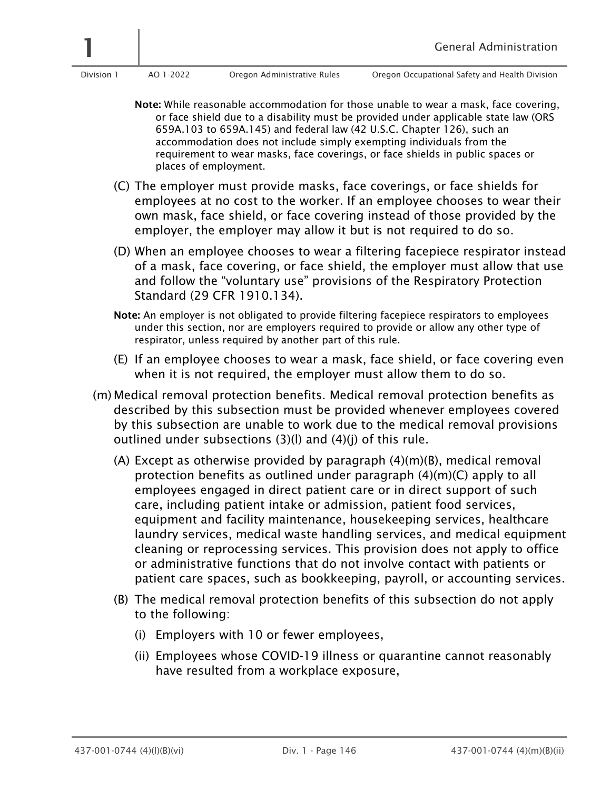| Division 1<br>AO 1-2022<br>Oregon Administrative Rules | Oregon Occupational Safety and Health Division |
|--------------------------------------------------------|------------------------------------------------|
|--------------------------------------------------------|------------------------------------------------|

- Note: While reasonable accommodation for those unable to wear a mask, face covering, or face shield due to a disability must be provided under applicable state law (ORS 659A.103 to 659A.145) and federal law (42 U.S.C. Chapter 126), such an accommodation does not include simply exempting individuals from the requirement to wear masks, face coverings, or face shields in public spaces or places of employment.
- (C) The employer must provide masks, face coverings, or face shields for employees at no cost to the worker. If an employee chooses to wear their own mask, face shield, or face covering instead of those provided by the employer, the employer may allow it but is not required to do so.
- (D) When an employee chooses to wear a filtering facepiece respirator instead of a mask, face covering, or face shield, the employer must allow that use and follow the "voluntary use" provisions of the Respiratory Protection Standard (29 CFR 1910.134).
- Note: An employer is not obligated to provide filtering facepiece respirators to employees under this section, nor are employers required to provide or allow any other type of respirator, unless required by another part of this rule.
- (E) If an employee chooses to wear a mask, face shield, or face covering even when it is not required, the employer must allow them to do so.
- (m) Medical removal protection benefits. Medical removal protection benefits as described by this subsection must be provided whenever employees covered by this subsection are unable to work due to the medical removal provisions outlined under subsections (3)(l) and (4)(j) of this rule.
	- (A) Except as otherwise provided by paragraph (4)(m)(B), medical removal protection benefits as outlined under paragraph (4)(m)(C) apply to all employees engaged in direct patient care or in direct support of such care, including patient intake or admission, patient food services, equipment and facility maintenance, housekeeping services, healthcare laundry services, medical waste handling services, and medical equipment cleaning or reprocessing services. This provision does not apply to office or administrative functions that do not involve contact with patients or patient care spaces, such as bookkeeping, payroll, or accounting services.
	- (B) The medical removal protection benefits of this subsection do not apply to the following:
		- (i) Employers with 10 or fewer employees,
		- (ii) Employees whose COVID-19 illness or quarantine cannot reasonably have resulted from a workplace exposure,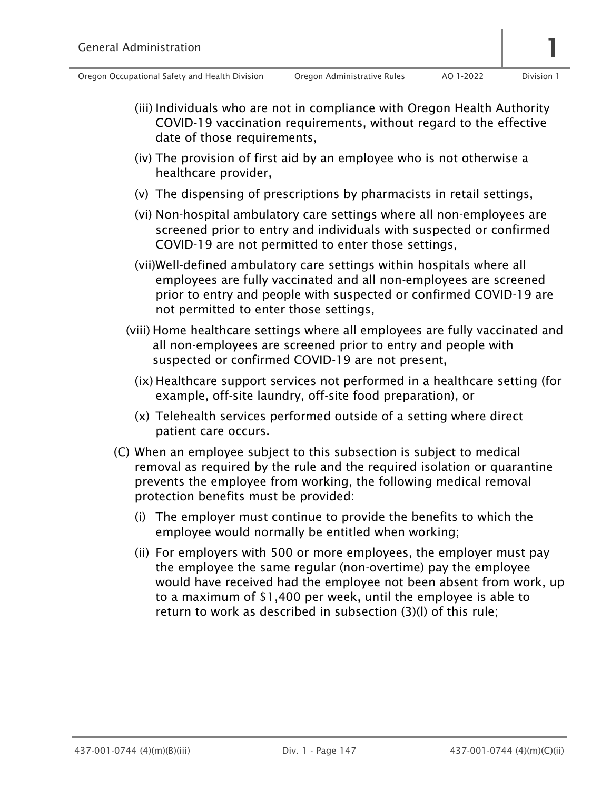- (iii) Individuals who are not in compliance with Oregon Health Authority COVID-19 vaccination requirements, without regard to the effective date of those requirements,
- (iv) The provision of first aid by an employee who is not otherwise a healthcare provider,
- (v) The dispensing of prescriptions by pharmacists in retail settings,
- (vi) Non-hospital ambulatory care settings where all non-employees are screened prior to entry and individuals with suspected or confirmed COVID-19 are not permitted to enter those settings,
- (vii)Well-defined ambulatory care settings within hospitals where all employees are fully vaccinated and all non-employees are screened prior to entry and people with suspected or confirmed COVID-19 are not permitted to enter those settings,
- (viii) Home healthcare settings where all employees are fully vaccinated and all non-employees are screened prior to entry and people with suspected or confirmed COVID-19 are not present,
	- (ix) Healthcare support services not performed in a healthcare setting (for example, off-site laundry, off-site food preparation), or
	- (x) Telehealth services performed outside of a setting where direct patient care occurs.
- (C) When an employee subject to this subsection is subject to medical removal as required by the rule and the required isolation or quarantine prevents the employee from working, the following medical removal protection benefits must be provided:
	- (i) The employer must continue to provide the benefits to which the employee would normally be entitled when working;
	- (ii) For employers with 500 or more employees, the employer must pay the employee the same regular (non-overtime) pay the employee would have received had the employee not been absent from work, up to a maximum of \$1,400 per week, until the employee is able to return to work as described in subsection (3)(l) of this rule;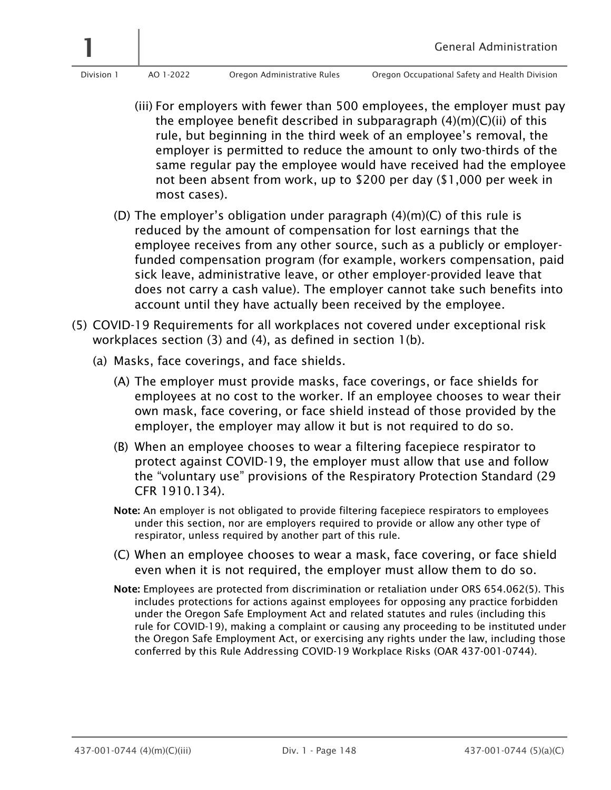- (iii) For employers with fewer than 500 employees, the employer must pay the employee benefit described in subparagraph (4)(m)(C)(ii) of this rule, but beginning in the third week of an employee's removal, the employer is permitted to reduce the amount to only two-thirds of the same regular pay the employee would have received had the employee not been absent from work, up to \$200 per day (\$1,000 per week in most cases).
- (D) The employer's obligation under paragraph (4)(m)(C) of this rule is reduced by the amount of compensation for lost earnings that the employee receives from any other source, such as a publicly or employerfunded compensation program (for example, workers compensation, paid sick leave, administrative leave, or other employer-provided leave that does not carry a cash value). The employer cannot take such benefits into account until they have actually been received by the employee.
- (5) COVID-19 Requirements for all workplaces not covered under exceptional risk workplaces section (3) and (4), as defined in section 1(b).
	- (a) Masks, face coverings, and face shields.
		- (A) The employer must provide masks, face coverings, or face shields for employees at no cost to the worker. If an employee chooses to wear their own mask, face covering, or face shield instead of those provided by the employer, the employer may allow it but is not required to do so.
		- (B) When an employee chooses to wear a filtering facepiece respirator to protect against COVID-19, the employer must allow that use and follow the "voluntary use" provisions of the Respiratory Protection Standard (29 CFR 1910.134).
		- Note: An employer is not obligated to provide filtering facepiece respirators to employees under this section, nor are employers required to provide or allow any other type of respirator, unless required by another part of this rule.
		- (C) When an employee chooses to wear a mask, face covering, or face shield even when it is not required, the employer must allow them to do so.
		- Note: Employees are protected from discrimination or retaliation under ORS 654.062(5). This includes protections for actions against employees for opposing any practice forbidden under the Oregon Safe Employment Act and related statutes and rules (including this rule for COVID-19), making a complaint or causing any proceeding to be instituted under the Oregon Safe Employment Act, or exercising any rights under the law, including those conferred by this Rule Addressing COVID-19 Workplace Risks (OAR 437-001-0744).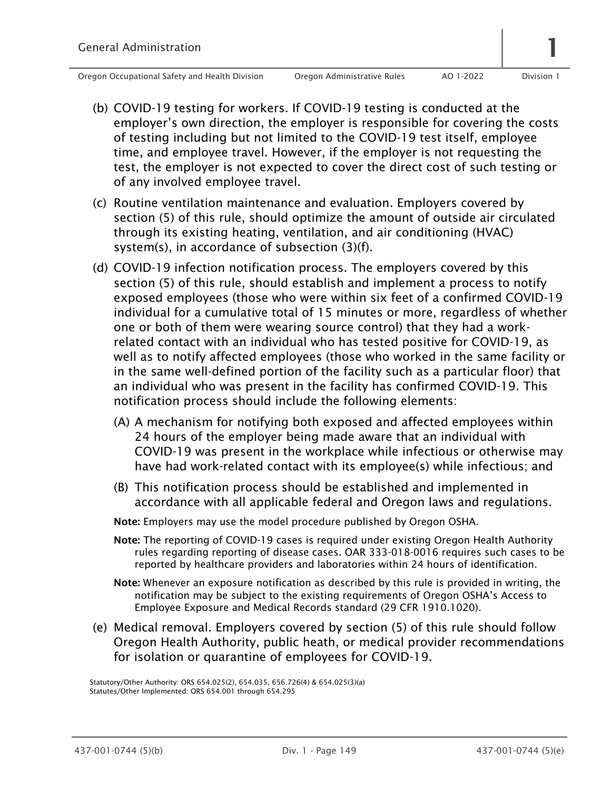| General Administration                         |                             |           |            |
|------------------------------------------------|-----------------------------|-----------|------------|
| Oregon Occupational Safety and Health Division | Oregon Administrative Rules | AO 1-2022 | Division 1 |

- (b) COVID-19 testing for workers. If COVID-19 testing is conducted at the employer's own direction, the employer is responsible for covering the costs of testing including but not limited to the COVID-19 test itself, employee time, and employee travel. However, if the employer is not requesting the test, the employer is not expected to cover the direct cost of such testing or of any involved employee travel.
- (c) Routine ventilation maintenance and evaluation. Employers covered by section (5) of this rule, should optimize the amount of outside air circulated through its existing heating, ventilation, and air conditioning (HVAC) system(s), in accordance of subsection (3)(f).
- (d) COVID-19 infection notification process. The employers covered by this section (5) of this rule, should establish and implement a process to notify exposed employees (those who were within six feet of a confirmed COVID-19 individual for a cumulative total of 15 minutes or more, regardless of whether one or both of them were wearing source control) that they had a workrelated contact with an individual who has tested positive for COVID-19, as well as to notify affected employees (those who worked in the same facility or in the same well-defined portion of the facility such as a particular floor) that an individual who was present in the facility has confirmed COVID-19. This notification process should include the following elements:
	- (A) A mechanism for notifying both exposed and affected employees within 24 hours of the employer being made aware that an individual with COVID-19 was present in the workplace while infectious or otherwise may have had work-related contact with its employee(s) while infectious; and
	- (B) This notification process should be established and implemented in accordance with all applicable federal and Oregon laws and regulations.

Note: Employers may use the model procedure published by Oregon OSHA.

- Note: The reporting of COVID-19 cases is required under existing Oregon Health Authority rules regarding reporting of disease cases. OAR 333-018-0016 requires such cases to be reported by healthcare providers and laboratories within 24 hours of identification.
- Note: Whenever an exposure notification as described by this rule is provided in writing, the notification may be subject to the existing requirements of Oregon OSHA's Access to Employee Exposure and Medical Records standard (29 CFR 1910.1020).
- (e) Medical removal. Employers covered by section (5) of this rule should follow Oregon Health Authority, public heath, or medical provider recommendations for isolation or quarantine of employees for COVID-19.

Statutory/Other Authority: ORS 654.025(2), 654.035, 656.726(4) & 654.025(3)(a) Statutes/Other Implemented: ORS 654.001 through 654.295

 $\mathbb{I}$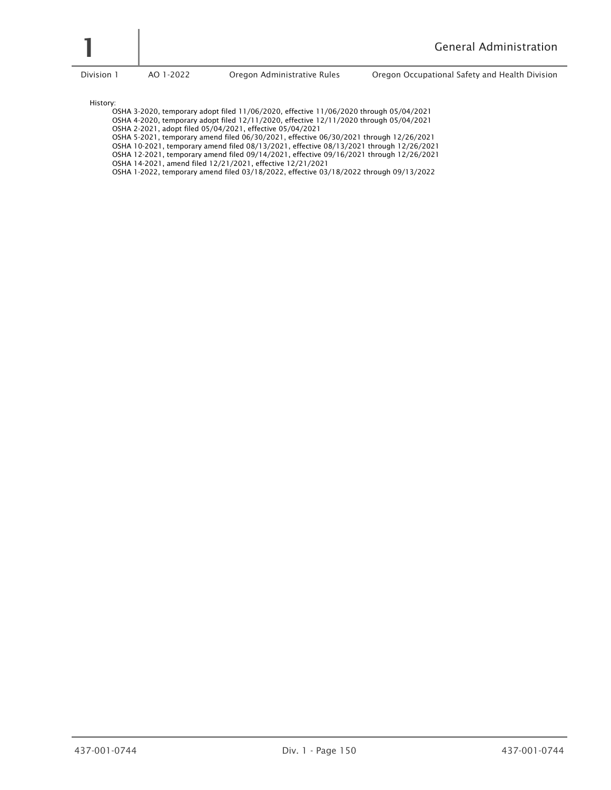|            |           |                             | <b>General Administration</b>                  |
|------------|-----------|-----------------------------|------------------------------------------------|
| Division 1 | AO 1-2022 | Oregon Administrative Rules | Oregon Occupational Safety and Health Division |

History:

OSHA 3-2020, temporary adopt filed 11/06/2020, effective 11/06/2020 through 05/04/2021 OSHA 4-2020, temporary adopt filed 12/11/2020, effective 12/11/2020 through 05/04/2021 OSHA 2-2021, adopt filed 05/04/2021, effective 05/04/2021 OSHA 5-2021, temporary amend filed 06/30/2021, effective 06/30/2021 through 12/26/2021 OSHA 10-2021, temporary amend filed 08/13/2021, effective 08/13/2021 through 12/26/2021 OSHA 12-2021, temporary amend filed 09/14/2021, effective 09/16/2021 through 12/26/2021

OSHA 14-2021, amend filed 12/21/2021, effective 12/21/2021

OSHA 1-2022, temporary amend filed 03/18/2022, effective 03/18/2022 through 09/13/2022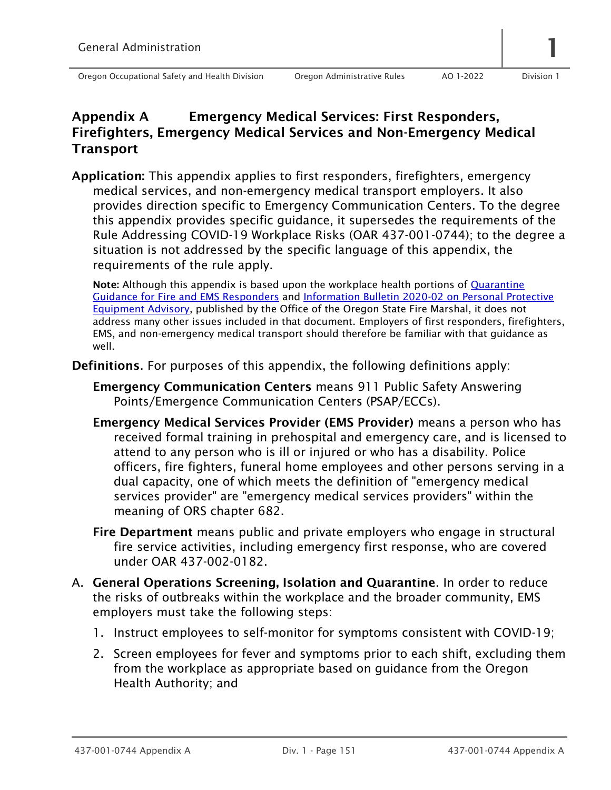# <span id="page-26-0"></span>Appendix A Emergency Medical Services: First Responders, Firefighters, Emergency Medical Services and Non-Emergency Medical **Transport**

Application: This appendix applies to first responders, firefighters, emergency medical services, and non-emergency medical transport employers. It also provides direction specific to Emergency Communication Centers. To the degree this appendix provides specific guidance, it supersedes the requirements of the Rule Addressing COVID-19 Workplace Risks (OAR 437-001-0744); to the degree a situation is not addressed by the specific language of this appendix, the requirements of the rule apply.

Note: Although this appendix is based upon the workplace health portions of [Quarantine](https://www.oregon.gov/osp/Docs/QuarantineGuidanceforFireandEMSRespondersMarch2020.pdf)  Guidance for Fire [and EMS Responders](https://www.oregon.gov/osp/Docs/QuarantineGuidanceforFireandEMSRespondersMarch2020.pdf) and [Information Bulletin 2020-02 on Personal Protective](https://www.oregon.gov/osp/Docs/2020-02InformationBulletinPPEAdvisory.pdf)  [Equipment Advisory,](https://www.oregon.gov/osp/Docs/2020-02InformationBulletinPPEAdvisory.pdf) published by the Office of the Oregon State Fire Marshal, it does not address many other issues included in that document. Employers of first responders, firefighters, EMS, and non-emergency medical transport should therefore be familiar with that guidance as well.

Definitions. For purposes of this appendix, the following definitions apply:

- Emergency Communication Centers means 911 Public Safety Answering Points/Emergence Communication Centers (PSAP/ECCs).
- Emergency Medical Services Provider (EMS Provider) means a person who has received formal training in prehospital and emergency care, and is licensed to attend to any person who is ill or injured or who has a disability. Police officers, fire fighters, funeral home employees and other persons serving in a dual capacity, one of which meets the definition of "emergency medical services provider" are "emergency medical services providers" within the meaning of ORS chapter 682.
- Fire Department means public and private employers who engage in structural fire service activities, including emergency first response, who are covered under OAR 437-002-0182.
- A. General Operations Screening, Isolation and Quarantine. In order to reduce the risks of outbreaks within the workplace and the broader community, EMS employers must take the following steps:
	- 1. Instruct employees to self-monitor for symptoms consistent with COVID-19;
	- 2. Screen employees for fever and symptoms prior to each shift, excluding them from the workplace as appropriate based on guidance from the Oregon Health Authority; and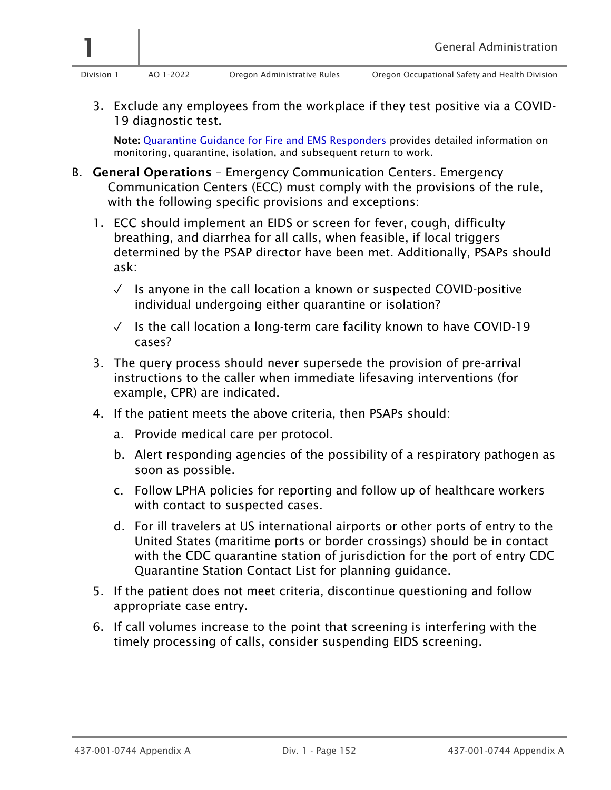3. Exclude any employees from the workplace if they test positive via a COVID-19 diagnostic test.

Note: [Quarantine Guidance for Fire and EMS Responders](https://www.oregon.gov/osp/Docs/QuarantineGuidanceforFireandEMSRespondersMarch2020.pdf) provides detailed information on monitoring, quarantine, isolation, and subsequent return to work.

- B. General Operations Emergency Communication Centers. Emergency Communication Centers (ECC) must comply with the provisions of the rule, with the following specific provisions and exceptions:
	- 1. ECC should implement an EIDS or screen for fever, cough, difficulty breathing, and diarrhea for all calls, when feasible, if local triggers determined by the PSAP director have been met. Additionally, PSAPs should ask:
		- ✓ Is anyone in the call location a known or suspected COVID-positive individual undergoing either quarantine or isolation?
		- $\sqrt{ }$  Is the call location a long-term care facility known to have COVID-19 cases?
	- 3. The query process should never supersede the provision of pre-arrival instructions to the caller when immediate lifesaving interventions (for example, CPR) are indicated.
	- 4. If the patient meets the above criteria, then PSAPs should:
		- a. Provide medical care per protocol.
		- b. Alert responding agencies of the possibility of a respiratory pathogen as soon as possible.
		- c. Follow LPHA policies for reporting and follow up of healthcare workers with contact to suspected cases.
		- d. For ill travelers at US international airports or other ports of entry to the United States (maritime ports or border crossings) should be in contact with the CDC quarantine station of jurisdiction for the port of entry CDC Quarantine Station Contact List for planning guidance.
	- 5. If the patient does not meet criteria, discontinue questioning and follow appropriate case entry.
	- 6. If call volumes increase to the point that screening is interfering with the timely processing of calls, consider suspending EIDS screening.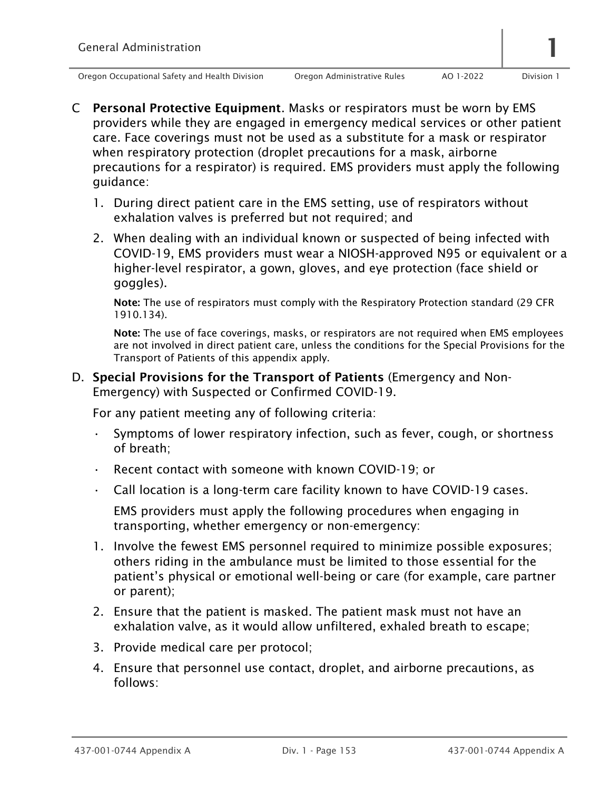- C Personal Protective Equipment. Masks or respirators must be worn by EMS providers while they are engaged in emergency medical services or other patient care. Face coverings must not be used as a substitute for a mask or respirator when respiratory protection (droplet precautions for a mask, airborne precautions for a respirator) is required. EMS providers must apply the following guidance:
	- 1. During direct patient care in the EMS setting, use of respirators without exhalation valves is preferred but not required; and
	- 2. When dealing with an individual known or suspected of being infected with COVID-19, EMS providers must wear a NIOSH-approved N95 or equivalent or a higher-level respirator, a gown, gloves, and eye protection (face shield or goggles).

Note: The use of respirators must comply with the Respiratory Protection standard (29 CFR 1910.134).

Note: The use of face coverings, masks, or respirators are not required when EMS employees are not involved in direct patient care, unless the conditions for the Special Provisions for the Transport of Patients of this appendix apply.

## D. Special Provisions for the Transport of Patients (Emergency and Non-Emergency) with Suspected or Confirmed COVID-19.

For any patient meeting any of following criteria:

- Symptoms of lower respiratory infection, such as fever, cough, or shortness of breath;
- Recent contact with someone with known COVID-19; or
- Call location is a long-term care facility known to have COVID-19 cases.

EMS providers must apply the following procedures when engaging in transporting, whether emergency or non-emergency:

- 1. Involve the fewest EMS personnel required to minimize possible exposures; others riding in the ambulance must be limited to those essential for the patient's physical or emotional well-being or care (for example, care partner or parent);
- 2. Ensure that the patient is masked. The patient mask must not have an exhalation valve, as it would allow unfiltered, exhaled breath to escape;
- 3. Provide medical care per protocol;
- 4. Ensure that personnel use contact, droplet, and airborne precautions, as follows: